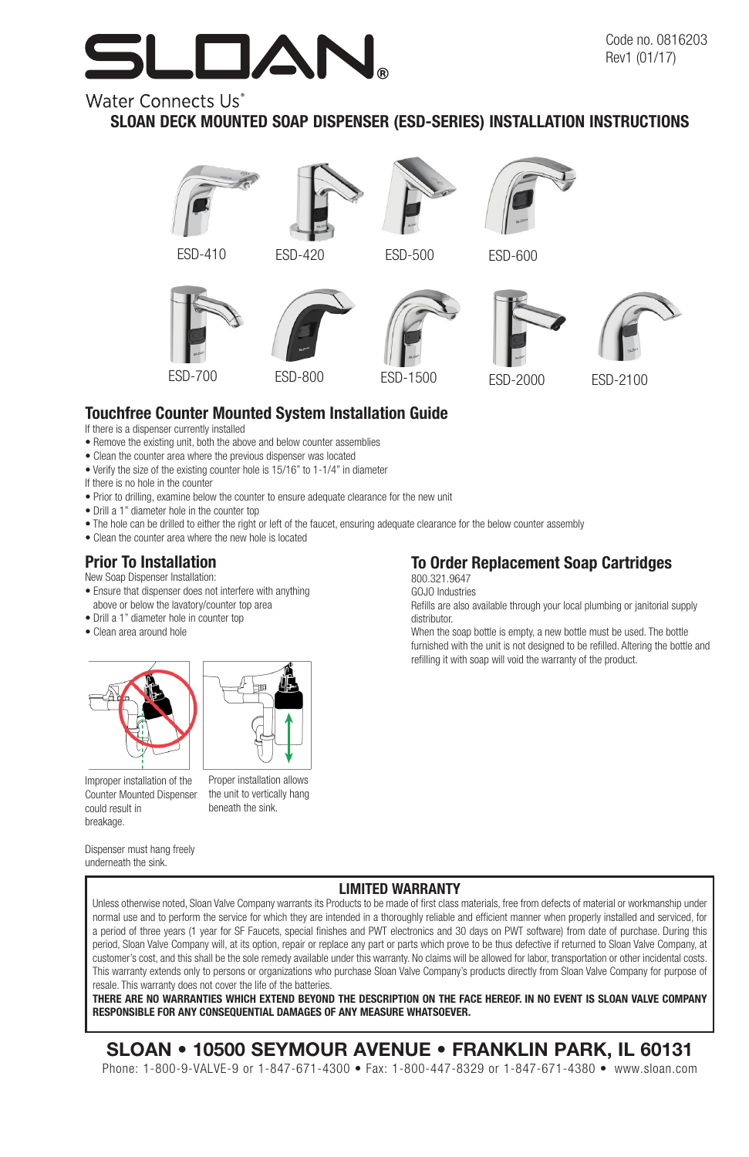# $\blacksquare$

## Water Connects Us<sup>\*</sup>

## SLOAN DECK MOUNTED SOAP DISPENSER (ESD-SERIES) INSTALLATION INSTRUCTIONS









ESD-500 ESD-600





## Touchfree Counter Mounted System Installation Guide

- If there is a dispenser currently installed
- Remove the existing unit, both the above and below counter assemblies
- Clean the counter area where the previous dispenser was located
- Verify the size of the existing counter hole is 15/16" to 1-1/4" in diameter
- If there is no hole in the counter
- Prior to drilling, examine below the counter to ensure adequate clearance for the new unit
- Drill a 1" diameter hole in the counter top
- The hole can be drilled to either the right or left of the faucet, ensuring adequate clearance for the below counter assembly
- Clean the counter area where the new hole is located

#### Prior To Installation

New Soap Dispenser Installation:

- Ensure that dispenser does not interfere with anything above or below the lavatory/counter top area
- Drill a 1" diameter hole in counter top
- Clean area around hole







the unit to vertically hang beneath the sink.

## 800.321.9647

GOJO Industries

Refills are also available through your local plumbing or janitorial supply distributor.

When the soap bottle is empty, a new bottle must be used. The bottle furnished with the unit is not designed to be refilled. Altering the bottle and refilling it with soap will void the warranty of the product.

#### Dispenser must hang freely underneath the sink.

#### LIMITED WARRANTY

Unless otherwise noted, Sloan Valve Company warrants its Products to be made of first class materials, free from defects of material or workmanship under normal use and to perform the service for which they are intended in a thoroughly reliable and efficient manner when properly installed and serviced, for a period of three years (1 year for SF Faucets, special finishes and PWT electronics and 30 days on PWT software) from date of purchase. During this period, Sloan Valve Company will, at its option, repair or replace any part or parts which prove to be thus defective if returned to Sloan Valve Company, at customer's cost, and this shall be the sole remedy available under this warranty. No claims will be allowed for labor, transportation or other incidental costs. This warranty extends only to persons or organizations who purchase Sloan Valve Company's products directly from Sloan Valve Company for purpose of resale. This warranty does not cover the life of the batteries.

THERE ARE NO WARRANTIES WHICH EXTEND BEYOND THE DESCRIPTION ON THE FACE HEREOF. IN NO EVENT IS SLOAN VALVE COMPANY RESPONSIBLE FOR ANY CONSEQUENTIAL DAMAGES OF ANY MEASURE WHATSOEVER.

## SLOAN • 10500 SEYMOUR AVENUE • FRANKLIN PARK, IL 60131

Phone: 1-800-9-VALVE-9 or 1-847-671-4300 • Fax: 1-800-447-8329 or 1-847-671-4380 • www.sloan.com

## To Order Replacement Soap Cartridges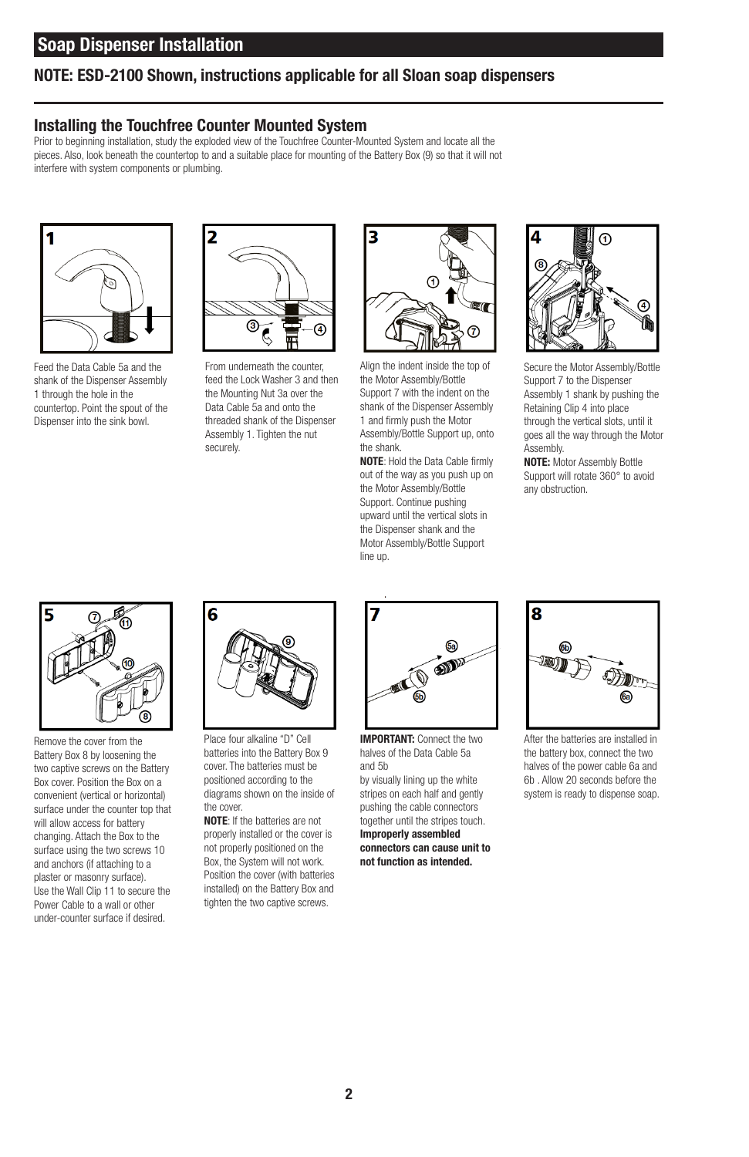### NOTE: ESD-2100 Shown, instructions applicable for all Sloan soap dispensers

#### Installing the Touchfree Counter Mounted System

Prior to beginning installation, study the exploded view of the Touchfree Counter-Mounted System and locate all the pieces. Also, look beneath the countertop to and a suitable place for mounting of the Battery Box (9) so that it will not interfere with system components or plumbing.



Feed the Data Cable 5a and the shank of the Dispenser Assembly 1 through the hole in the countertop. Point the spout of the Dispenser into the sink bowl.



From underneath the counter, feed the Lock Washer 3 and then the Mounting Nut 3a over the Data Cable 5a and onto the threaded shank of the Dispenser Assembly 1. Tighten the nut securely.



Align the indent inside the top of the Motor Assembly/Bottle Support 7 with the indent on the shank of the Dispenser Assembly 1 and firmly push the Motor Assembly/Bottle Support up, onto the shank.

NOTE: Hold the Data Cable firmly out of the way as you push up on the Motor Assembly/Bottle Support. Continue pushing upward until the vertical slots in the Dispenser shank and the Motor Assembly/Bottle Support line up.



Secure the Motor Assembly/Bottle Support 7 to the Dispenser Assembly 1 shank by pushing the Retaining Clip 4 into place through the vertical slots, until it goes all the way through the Motor Assembly.

NOTE: Motor Assembly Bottle Support will rotate 360° to avoid any obstruction.



Remove the cover from the Battery Box 8 by loosening the two captive screws on the Battery Box cover. Position the Box on a convenient (vertical or horizontal) surface under the counter top that will allow access for battery changing. Attach the Box to the surface using the two screws 10 and anchors (if attaching to a plaster or masonry surface). Use the Wall Clip 11 to secure the Power Cable to a wall or other under-counter surface if desired.



Place four alkaline "D" Cell batteries into the Battery Box 9 cover. The batteries must be positioned according to the diagrams shown on the inside of the cover.

NOTE: If the batteries are not properly installed or the cover is not properly positioned on the Box, the System will not work. Position the cover (with batteries installed) on the Battery Box and tighten the two captive screws.



IMPORTANT: Connect the two halves of the Data Cable 5a and 5b

by visually lining up the white stripes on each half and gently pushing the cable connectors together until the stripes touch. Improperly assembled

connectors can cause unit to not function as intended.



After the batteries are installed in the battery box, connect the two halves of the power cable 6a and 6b . Allow 20 seconds before the system is ready to dispense soap.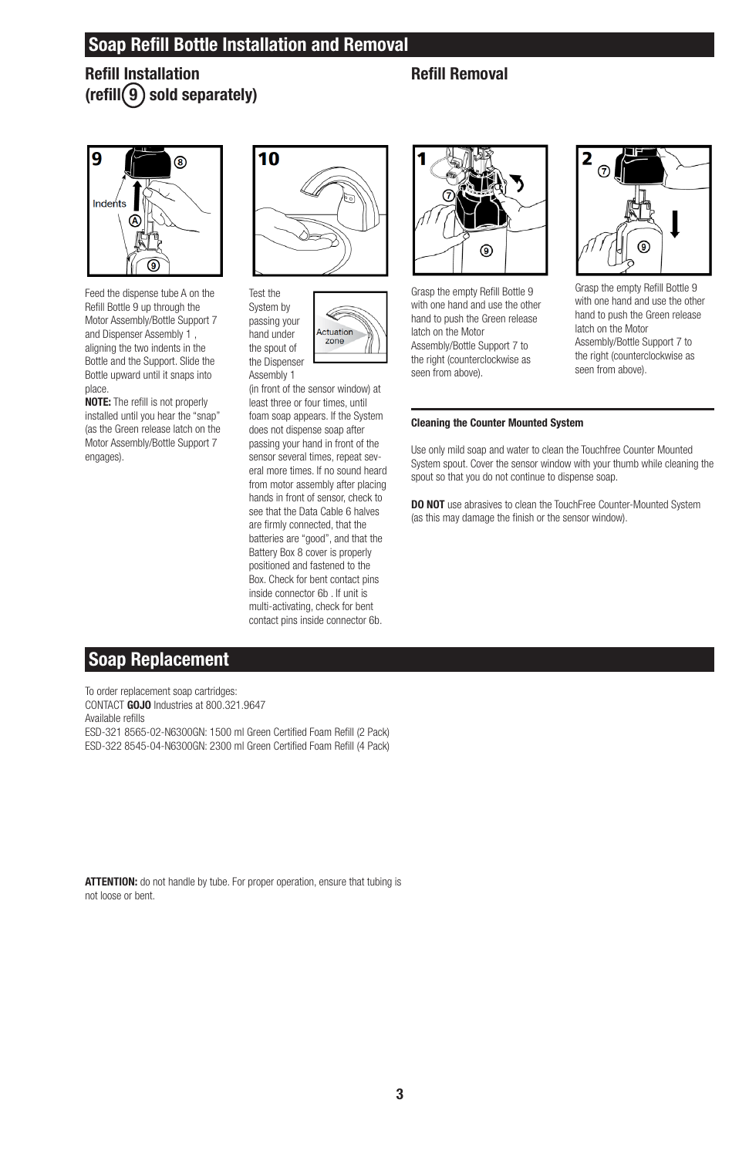## Soap Refill Bottle Installation and Removal

Refill Installation  $(r \in \text{fill}(9)$  sold separately)

### Refill Removal



Feed the dispense tube A on the Refill Bottle 9 up through the Motor Assembly/Bottle Support 7 and Dispenser Assembly 1 , aligning the two indents in the Bottle and the Support. Slide the Bottle upward until it snaps into place.

NOTE: The refill is not properly installed until you hear the "snap" (as the Green release latch on the Motor Assembly/Bottle Support 7 engages).



Ĉ Actuation zone

System by passing your hand under the spout of the Dispenser Assembly 1

(in front of the sensor window) at least three or four times, until foam soap appears. If the System does not dispense soap after passing your hand in front of the sensor several times, repeat several more times. If no sound heard from motor assembly after placing hands in front of sensor, check to see that the Data Cable 6 halves are firmly connected, that the batteries are "good", and that the Battery Box 8 cover is properly positioned and fastened to the Box. Check for bent contact pins inside connector 6b . If unit is multi-activating, check for bent contact pins inside connector 6b.



Grasp the empty Refill Bottle 9 with one hand and use the other hand to push the Green release latch on the Motor Assembly/Bottle Support 7 to the right (counterclockwise as seen from above).



Grasp the empty Refill Bottle 9 with one hand and use the other hand to push the Green release latch on the Motor Assembly/Bottle Support 7 to the right (counterclockwise as seen from above).

#### Cleaning the Counter Mounted System

Use only mild soap and water to clean the Touchfree Counter Mounted System spout. Cover the sensor window with your thumb while cleaning the spout so that you do not continue to dispense soap.

DO NOT use abrasives to clean the TouchFree Counter-Mounted System (as this may damage the finish or the sensor window).

## Soap Replacement

To order replacement soap cartridges: CONTACT GOJO Industries at 800.321.9647 Available refills ESD-321 8565-02-N6300GN: 1500 ml Green Certified Foam Refill (2 Pack) ESD-322 8545-04-N6300GN: 2300 ml Green Certified Foam Refill (4 Pack)

ATTENTION: do not handle by tube. For proper operation, ensure that tubing is not loose or bent.